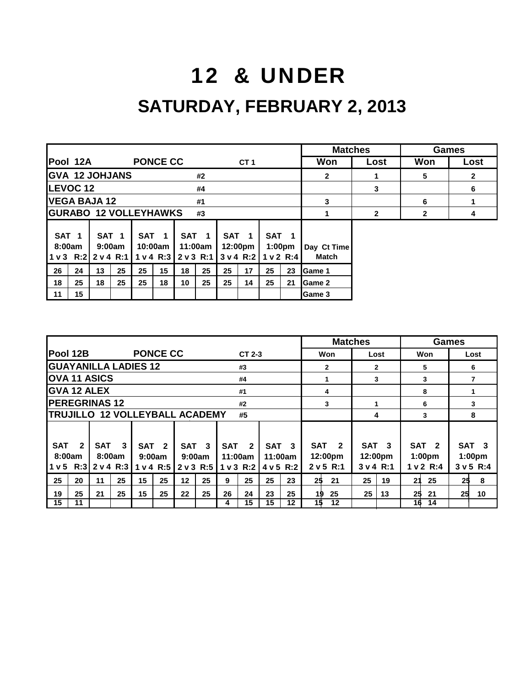## 12 & UNDER

### **SATURDAY, FEBRUARY 2, 2013**

|                            |          |                               |                            |            |                              |    |                                          |    |                                          |                               |                    | <b>Matches</b>              |              |              | <b>Games</b>   |
|----------------------------|----------|-------------------------------|----------------------------|------------|------------------------------|----|------------------------------------------|----|------------------------------------------|-------------------------------|--------------------|-----------------------------|--------------|--------------|----------------|
|                            | Pool 12A |                               |                            |            | <b>PONCE CC</b>              |    |                                          |    | CT <sub>1</sub>                          |                               |                    | Won                         | Lost         | Won          | Lost           |
|                            |          |                               | <b>GVA 12 JOHJANS</b>      |            |                              |    | #2                                       |    |                                          |                               |                    | $\mathbf{2}$                |              | 5            | $\overline{2}$ |
|                            | LEVOC 12 |                               |                            |            |                              |    | #4                                       |    |                                          |                               |                    |                             | 3            |              | 6              |
|                            |          | <b>VEGA BAJA 12</b>           |                            |            |                              |    | #1                                       |    |                                          |                               |                    | 3                           |              | 6            |                |
|                            |          |                               |                            |            | <b>GURABO 12 VOLLEYHAWKS</b> |    | #3                                       |    |                                          |                               |                    |                             | $\mathbf{2}$ | $\mathbf{2}$ | 4              |
| SAT <sub>1</sub><br>8:00am |          | $1 \vee 3$ R:2 $2 \vee 4$ R:1 | SAT <sub>1</sub><br>9:00am | <b>SAT</b> | 10:00am<br>1 v 4 R:3         |    | SAT <sub>1</sub><br>11:00am<br>2 v 3 R:1 |    | SAT <sub>1</sub><br>12:00pm<br>3 v 4 R:2 | SAT <sub>1</sub><br>1 v 2 R:4 | 1:00 <sub>pm</sub> | Day Ct Time<br><b>Match</b> |              |              |                |
| 26                         | 24       | 13                            | 25                         | 25         | 15                           | 18 | 25                                       | 25 | 17                                       | 25                            | 23                 | Game 1                      |              |              |                |
| 18                         | 25       | 18                            | 25                         | 25         | 18                           | 10 | 25                                       | 25 | 14                                       | 25                            | 21                 | Game 2                      |              |              |                |
| 11                         | 15       |                               |                            |            |                              |    |                                          |    |                                          |                               |                    | Game 3                      |              |              |                |

|                                                          |                                              |                                   |                |                                         |    |                                    |              |    |                                          |            | <b>Matches</b>                         |    |                                          |    |                                                     | Games |                                                     |
|----------------------------------------------------------|----------------------------------------------|-----------------------------------|----------------|-----------------------------------------|----|------------------------------------|--------------|----|------------------------------------------|------------|----------------------------------------|----|------------------------------------------|----|-----------------------------------------------------|-------|-----------------------------------------------------|
| <b>Pool 12B</b>                                          |                                              | <b>PONCE CC</b>                   |                |                                         |    |                                    | $CT2-3$      |    |                                          |            | Won                                    |    | Lost                                     |    | Won                                                 |       | Lost                                                |
| <b>GUAYANILLA LADIES 12</b>                              |                                              |                                   |                |                                         |    |                                    | #3           |    |                                          |            | $\mathbf{2}$                           |    | $\overline{2}$                           |    | 5                                                   |       | 6                                                   |
| <b>OVA 11 ASICS</b>                                      |                                              |                                   |                |                                         |    |                                    | #4           |    |                                          |            | 1                                      |    | 3                                        |    | 3                                                   |       | 7                                                   |
| <b>GVA 12 ALEX</b>                                       |                                              |                                   |                |                                         |    |                                    | #1           |    |                                          |            | 4                                      |    |                                          |    | 8                                                   |       | 1                                                   |
| <b>PEREGRINAS 12</b>                                     |                                              |                                   |                |                                         |    |                                    | #2           |    |                                          |            | 3                                      |    |                                          |    | 6                                                   |       | 3                                                   |
| TRUJILLO 12 VOLLEYBALL ACADEMY                           |                                              |                                   |                |                                         |    |                                    | #5           |    |                                          |            |                                        |    | 4                                        |    | 3                                                   |       | 8                                                   |
|                                                          |                                              |                                   |                |                                         |    |                                    |              |    |                                          |            |                                        |    |                                          |    |                                                     |       |                                                     |
| <b>SAT</b><br>$\mathbf{2}$<br>8:00am<br>1 <sub>v</sub> 5 | <b>SAT</b><br>3<br>8:00am<br>$R:3$ 2 v 4 R:3 | <b>SAT</b><br>9:00am<br>1 v 4 R:5 | $\overline{2}$ | SAT <sub>3</sub><br>9:00am<br>2 v 3 R:5 |    | <b>SAT</b><br>11:00am<br>1 v 3 R:2 | $\mathbf{2}$ |    | SAT <sub>3</sub><br>11:00am<br>4 v 5 R:2 | <b>SAT</b> | $\overline{2}$<br>12:00pm<br>2 v 5 R:1 |    | SAT <sub>3</sub><br>12:00pm<br>3 v 4 R:1 |    | SAT <sub>2</sub><br>1:00 <sub>pm</sub><br>1 v 2 R:4 |       | SAT <sub>3</sub><br>1:00 <sub>pm</sub><br>3 v 5 R:4 |
| 25<br>20                                                 | 25<br>11                                     | 15                                | 25             | 12                                      | 25 | 9                                  | 25           | 25 | 23                                       | 25         | 21                                     | 25 | 19                                       | 21 | 25                                                  | 25    | 8                                                   |
| 25<br>19                                                 | 25<br>21                                     | 15                                | 25             | 22                                      | 25 | 26                                 | 24           | 23 | 25                                       | 19         | 25                                     | 25 | 13                                       | 25 | 21                                                  | 25    | 10                                                  |
| 15<br>11                                                 |                                              |                                   |                |                                         |    | 4                                  | 15           | 15 | 12                                       | 15         | 12                                     |    |                                          | 16 | 14                                                  |       |                                                     |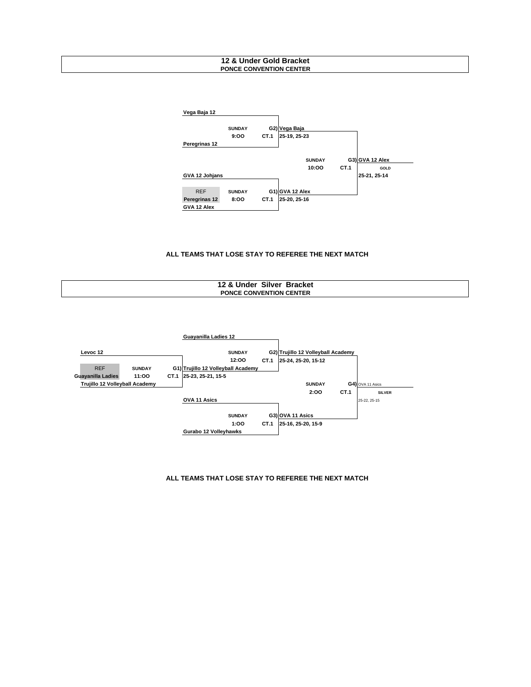#### **12 & Under Gold Bracket PONCE CONVENTION CENTER**



#### **ALL TEAMS THAT LOSE STAY TO REFEREE THE NEXT MATCH**





#### **ALL TEAMS THAT LOSE STAY TO REFEREE THE NEXT MATCH**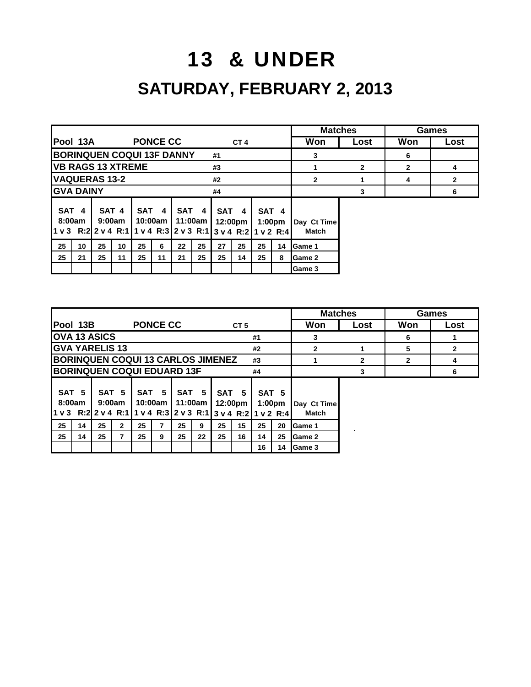# 13 & UNDER **SATURDAY, FEBRUARY 2, 2013**

|                                                                                |                                        |    |                 |                 |                    |         |       |            |                 |    |                                        | <b>Matches</b>              |              |              | Games          |
|--------------------------------------------------------------------------------|----------------------------------------|----|-----------------|-----------------|--------------------|---------|-------|------------|-----------------|----|----------------------------------------|-----------------------------|--------------|--------------|----------------|
| lPool 13A                                                                      |                                        |    |                 | <b>PONCE CC</b> |                    |         |       |            | CT <sub>4</sub> |    |                                        | Won                         | Lost         | Won          | Lost           |
|                                                                                | <b>BORINQUEN COQUI 13F DANNY</b><br>#1 |    |                 |                 |                    |         |       |            |                 |    | 3                                      |                             | 6            |              |                |
| <b>IVB RAGS 13 XTREME</b>                                                      |                                        |    |                 |                 |                    |         |       | #3         |                 |    |                                        |                             | $\mathbf{2}$ | $\mathbf{2}$ | 4              |
| <b>VAQUERAS 13-2</b>                                                           |                                        |    |                 |                 |                    |         |       | #2         |                 |    |                                        | $\mathbf{2}$                | 1            | 4            | $\overline{2}$ |
| <b>GVA DAINY</b>                                                               |                                        |    |                 |                 |                    |         |       | #4         |                 |    |                                        |                             | 3            |              | 6              |
| SAT 4<br>8:00am<br>1 v 3 R:2 2 v 4 R:1 1 v 4 R:3 2 v 3 R:1 3 v 4 R:2 1 v 2 R:4 |                                        |    | SAT 4<br>9:00am |                 | SAT 4<br>10:00am l | 11:00am | SAT 4 | <b>SAT</b> | 4<br>12:00pm    |    | SAT <sub>4</sub><br>1:00 <sub>pm</sub> | Day Ct Time<br><b>Match</b> |              |              |                |
| 25                                                                             | 10                                     | 25 | 10              | 25              | 6                  | 22      | 25    | 27         | 25              | 25 | 14                                     | Game 1                      |              |              |                |
| 25                                                                             | 21                                     | 25 | 11              | 25              | 11                 | 21      | 25    | 25         | 14              | 25 | 8                                      | <b>Game 2</b>               |              |              |                |
|                                                                                |                                        |    |                 |                 |                    |         |       |            |                 |    |                                        | <b>Game 3</b>               |              |              |                |

|                                                                                                                   |          |                                                 |                 |                                         |                     |                             |                                         |                 |                                                          |                | <b>Matches</b>                                            |              |              | Games        |
|-------------------------------------------------------------------------------------------------------------------|----------|-------------------------------------------------|-----------------|-----------------------------------------|---------------------|-----------------------------|-----------------------------------------|-----------------|----------------------------------------------------------|----------------|-----------------------------------------------------------|--------------|--------------|--------------|
| Pool 13B                                                                                                          |          |                                                 | <b>PONCE CC</b> |                                         |                     |                             |                                         | CT <sub>5</sub> |                                                          |                | Won                                                       | Lost         | Won          | Lost         |
| <b>OVA 13 ASICS</b>                                                                                               |          |                                                 |                 |                                         |                     |                             |                                         |                 | #1                                                       |                | 3                                                         |              | 6            |              |
| <b>GVA YARELIS 13</b>                                                                                             |          |                                                 |                 |                                         |                     |                             |                                         |                 | #2                                                       |                | $\mathbf{2}$                                              |              | 5            | $\mathbf{2}$ |
| <b>BORINQUEN COQUI 13 CARLOS JIMENEZ</b>                                                                          |          |                                                 |                 |                                         |                     |                             |                                         |                 | #3                                                       |                |                                                           | $\mathbf{2}$ | $\mathbf{2}$ | 4            |
| <b>BORINQUEN COQUI EDUARD 13F</b>                                                                                 |          |                                                 |                 |                                         |                     |                             |                                         |                 | #4                                                       |                |                                                           | 3            |              | 6            |
| SAT <sub>5</sub><br>8:00am<br>1 v 3 R:2 2 v 4 R:1 1 v 4 R:3 2 v 3 R:1 3 v 4 R:2 1 v 2 R:4<br>25<br>14<br>25<br>14 | 25<br>25 | SAT <sub>5</sub><br>9:00am<br>$\mathbf{2}$<br>7 | 25<br>25        | SAT <sub>5</sub><br>10:00am l<br>7<br>9 | 11:00am<br>25<br>25 | SAT <sub>5</sub><br>9<br>22 | SAT <sub>5</sub><br>12:00pm<br>25<br>25 | 15<br>16        | SAT <sub>5</sub><br>1:00 <sub>pm</sub><br>25<br>14<br>16 | 20<br>25<br>14 | Day Ct Time<br><b>Match</b><br>Game 1<br>Game 2<br>Game 3 |              |              |              |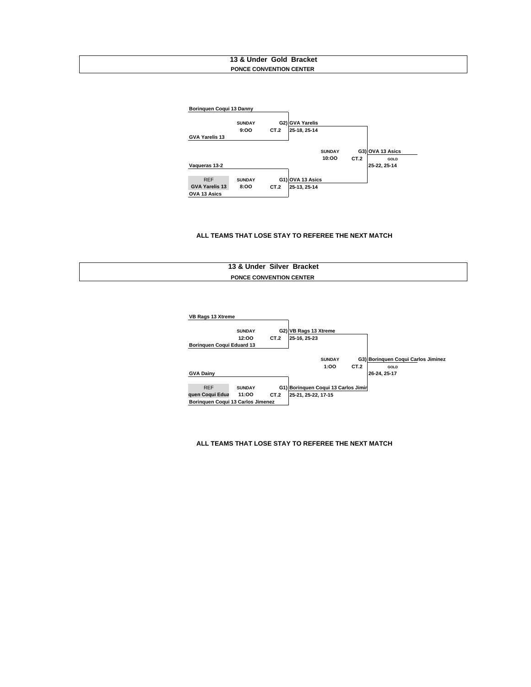#### **13 & Under Gold Bracket PONCE CONVENTION CENTER**



#### **ALL TEAMS THAT LOSE STAY TO REFEREE THE NEXT MATCH**

| 13 & Under Silver Bracket      |  |
|--------------------------------|--|
| <b>PONCE CONVENTION CENTER</b> |  |



#### **ALL TEAMS THAT LOSE STAY TO REFEREE THE NEXT MATCH**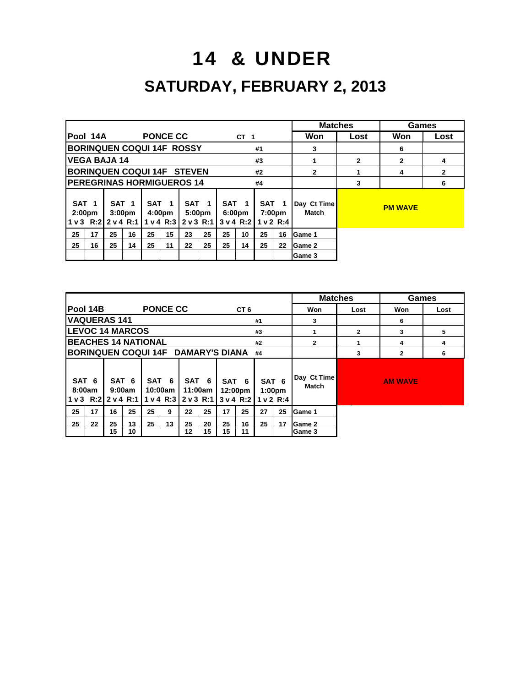### 14 & UNDER

### **SATURDAY, FEBRUARY 2, 2013**

|                                                                         |                                  |    |                                        |                  |                    |                                         |        |                  |                                      |    |                                         | <b>Matches</b>       |                | Games          |                |
|-------------------------------------------------------------------------|----------------------------------|----|----------------------------------------|------------------|--------------------|-----------------------------------------|--------|------------------|--------------------------------------|----|-----------------------------------------|----------------------|----------------|----------------|----------------|
| lPool 14A                                                               |                                  |    |                                        | <b>PONCE CC</b>  |                    |                                         |        |                  | CT <sub>1</sub>                      |    |                                         | Won                  | Lost           | Won            | Lost           |
|                                                                         | <b>BORINQUEN COQUI 14F ROSSY</b> |    |                                        |                  |                    |                                         |        |                  |                                      | #1 |                                         | 3                    |                | 6              |                |
| <b>VEGA BAJA 14</b>                                                     |                                  |    |                                        |                  |                    |                                         |        |                  | #3                                   |    |                                         | 1                    | $\overline{2}$ | $\overline{2}$ | 4              |
| <b>BORINQUEN COQUI 14F STEVEN</b>                                       |                                  |    |                                        |                  |                    |                                         |        |                  |                                      | #2 |                                         | $\overline{2}$       |                | 4              | $\overline{2}$ |
| <b>PEREGRINAS HORMIGUEROS 14</b>                                        |                                  |    |                                        |                  |                    |                                         |        |                  |                                      | #4 |                                         |                      | 3              |                | 6              |
| SAT <sub>1</sub><br>2:00 <sub>pm</sub><br>$1 \vee 3$ R:2 $2 \vee 4$ R:1 |                                  |    | SAT <sub>1</sub><br>3:00 <sub>pm</sub> | SAT <sub>1</sub> | 4:00 <sub>pm</sub> | SAT <sub>1</sub><br>1 v 4 R:3 2 v 3 R:1 | 5:00pm | SAT <sub>1</sub> | 6:00 <sub>pm</sub><br>$3 \vee 4$ R:2 |    | SAT <sub>1</sub><br>7:00pm<br>1 v 2 R:4 | Day Ct Time<br>Match |                | <b>PM WAVE</b> |                |
| 25                                                                      | 17                               | 25 | 16                                     | 25               | 15                 | 23                                      | 25     | 25               | 10                                   | 25 | 16                                      | Game 1               |                |                |                |
| 25                                                                      | 16                               | 25 | 14                                     | 25               | 11                 | 22                                      | 25     | 25               | 14                                   | 25 | 22                                      | <b>Game 2</b>        |                |                |                |
|                                                                         |                                  |    |                                        |                  |                    |                                         |        |                  |                                      |    |                                         | Game 3               |                |                |                |

|                                                           |    |                            |                 |                  |       |         |    |                  |                                         |                                        | <b>Matches</b>              |              | Games          |      |
|-----------------------------------------------------------|----|----------------------------|-----------------|------------------|-------|---------|----|------------------|-----------------------------------------|----------------------------------------|-----------------------------|--------------|----------------|------|
| Pool 14B                                                  |    |                            | <b>PONCE CC</b> |                  |       |         |    | CT <sub>6</sub>  |                                         |                                        | Won                         | Lost         | Won            | Lost |
| <b>VAQUERAS 141</b>                                       |    |                            |                 |                  |       |         |    |                  | #1                                      |                                        | 3                           |              | 6              |      |
| <b>LEVOC 14 MARCOS</b>                                    |    |                            |                 |                  |       |         |    |                  | #3                                      |                                        | 1                           | $\mathbf{2}$ | 3              | 5    |
| <b>IBEACHES 14 NATIONAL</b>                               |    |                            |                 |                  |       |         |    |                  | #2                                      |                                        | $\mathbf{2}$                |              | 4              | 4    |
| BORINQUEN COQUI 14F DAMARY'S DIANA                        |    |                            |                 |                  |       |         |    |                  | #4                                      |                                        |                             | 3            | $\mathbf{2}$   | 6    |
| SAT <sub>6</sub><br>8:00am<br> 1 v 3   R:2    2 v 4   R:1 |    | SAT <sub>6</sub><br>9:00am |                 | SAT 6<br>10:00am | SAT 6 | 11:00am |    | SAT 6<br>12:00pm | 1 v 4 R:3 2 v 3 R:1 3 v 4 R:2 1 v 2 R:4 | SAT <sub>6</sub><br>1:00 <sub>pm</sub> | Day Ct Time<br><b>Match</b> |              | <b>AM WAVE</b> |      |
| 25<br>17                                                  | 16 | 25                         | 25              | 9                | 22    | 25      | 17 | 25               | 27                                      | 25                                     | Game 1                      |              |                |      |
| 25<br>22                                                  | 25 | 13                         | 25              | 13               | 25    | 20      | 25 | 16               | 25                                      | 17                                     | Game 2                      |              |                |      |
|                                                           | 15 | 10                         |                 |                  | 12    | 15      | 15 | 11               |                                         |                                        | Game 3                      |              |                |      |